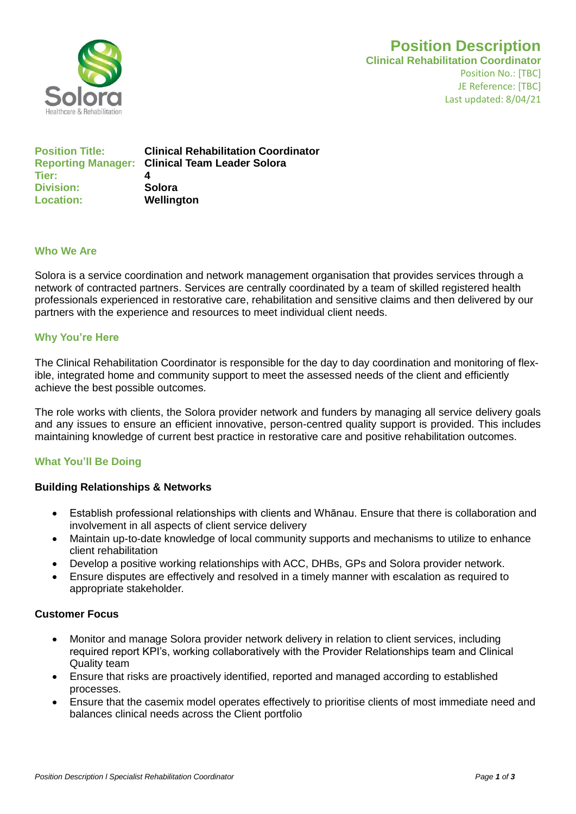

# **Position Description**

**Clinical Rehabilitation Coordinator** Position No.: [TBC] JE Reference: [TBC] Last updated: 8/04/21

| <b>Position Title:</b> | <b>Clinical Rehabilitation Coordinator</b><br><b>Reporting Manager: Clinical Team Leader Solora</b> |
|------------------------|-----------------------------------------------------------------------------------------------------|
| Tier:                  |                                                                                                     |
| <b>Division:</b>       | Solora                                                                                              |
| <b>Location:</b>       | Wellington                                                                                          |

#### **Who We Are**

Solora is a service coordination and network management organisation that provides services through a network of contracted partners. Services are centrally coordinated by a team of skilled registered health professionals experienced in restorative care, rehabilitation and sensitive claims and then delivered by our partners with the experience and resources to meet individual client needs.

## **Why You're Here**

The Clinical Rehabilitation Coordinator is responsible for the day to day coordination and monitoring of flexible, integrated home and community support to meet the assessed needs of the client and efficiently achieve the best possible outcomes.

The role works with clients, the Solora provider network and funders by managing all service delivery goals and any issues to ensure an efficient innovative, person-centred quality support is provided. This includes maintaining knowledge of current best practice in restorative care and positive rehabilitation outcomes.

## **What You'll Be Doing**

## **Building Relationships & Networks**

- Establish professional relationships with clients and Whānau. Ensure that there is collaboration and involvement in all aspects of client service delivery
- Maintain up-to-date knowledge of local community supports and mechanisms to utilize to enhance client rehabilitation
- Develop a positive working relationships with ACC, DHBs, GPs and Solora provider network.
- Ensure disputes are effectively and resolved in a timely manner with escalation as required to appropriate stakeholder.

#### **Customer Focus**

- Monitor and manage Solora provider network delivery in relation to client services, including required report KPI's, working collaboratively with the Provider Relationships team and Clinical Quality team
- Ensure that risks are proactively identified, reported and managed according to established processes.
- Ensure that the casemix model operates effectively to prioritise clients of most immediate need and balances clinical needs across the Client portfolio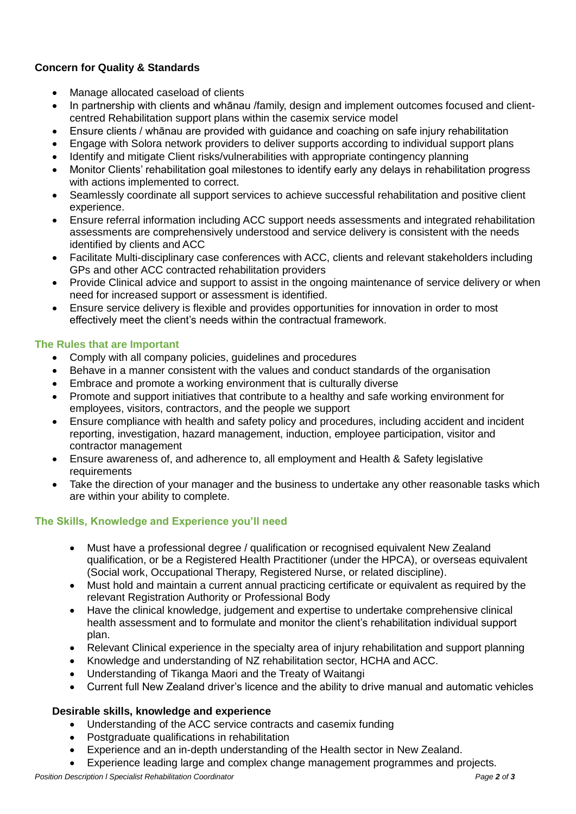## **Concern for Quality & Standards**

- Manage allocated caseload of clients
- In partnership with clients and whānau /family, design and implement outcomes focused and clientcentred Rehabilitation support plans within the casemix service model
- Ensure clients / whānau are provided with guidance and coaching on safe injury rehabilitation
- Engage with Solora network providers to deliver supports according to individual support plans
- Identify and mitigate Client risks/vulnerabilities with appropriate contingency planning
- Monitor Clients' rehabilitation goal milestones to identify early any delays in rehabilitation progress with actions implemented to correct.
- Seamlessly coordinate all support services to achieve successful rehabilitation and positive client experience.
- Ensure referral information including ACC support needs assessments and integrated rehabilitation assessments are comprehensively understood and service delivery is consistent with the needs identified by clients and ACC
- Facilitate Multi-disciplinary case conferences with ACC, clients and relevant stakeholders including GPs and other ACC contracted rehabilitation providers
- Provide Clinical advice and support to assist in the ongoing maintenance of service delivery or when need for increased support or assessment is identified.
- Ensure service delivery is flexible and provides opportunities for innovation in order to most effectively meet the client's needs within the contractual framework.

## **The Rules that are Important**

- Comply with all company policies, guidelines and procedures
- Behave in a manner consistent with the values and conduct standards of the organisation
- Embrace and promote a working environment that is culturally diverse
- Promote and support initiatives that contribute to a healthy and safe working environment for employees, visitors, contractors, and the people we support
- Ensure compliance with health and safety policy and procedures, including accident and incident reporting, investigation, hazard management, induction, employee participation, visitor and contractor management
- Ensure awareness of, and adherence to, all employment and Health & Safety legislative requirements
- Take the direction of your manager and the business to undertake any other reasonable tasks which are within your ability to complete.

## **The Skills, Knowledge and Experience you'll need**

- Must have a professional degree / qualification or recognised equivalent New Zealand qualification, or be a Registered Health Practitioner (under the HPCA), or overseas equivalent (Social work, Occupational Therapy, Registered Nurse, or related discipline).
- Must hold and maintain a current annual practicing certificate or equivalent as required by the relevant Registration Authority or Professional Body
- Have the clinical knowledge, judgement and expertise to undertake comprehensive clinical health assessment and to formulate and monitor the client's rehabilitation individual support plan.
- Relevant Clinical experience in the specialty area of injury rehabilitation and support planning
- Knowledge and understanding of NZ rehabilitation sector, HCHA and ACC.
- Understanding of Tikanga Maori and the Treaty of Waitangi
- Current full New Zealand driver's licence and the ability to drive manual and automatic vehicles

## **Desirable skills, knowledge and experience**

- Understanding of the ACC service contracts and casemix funding
- Postgraduate qualifications in rehabilitation
- Experience and an in-depth understanding of the Health sector in New Zealand.
- Experience leading large and complex change management programmes and projects.